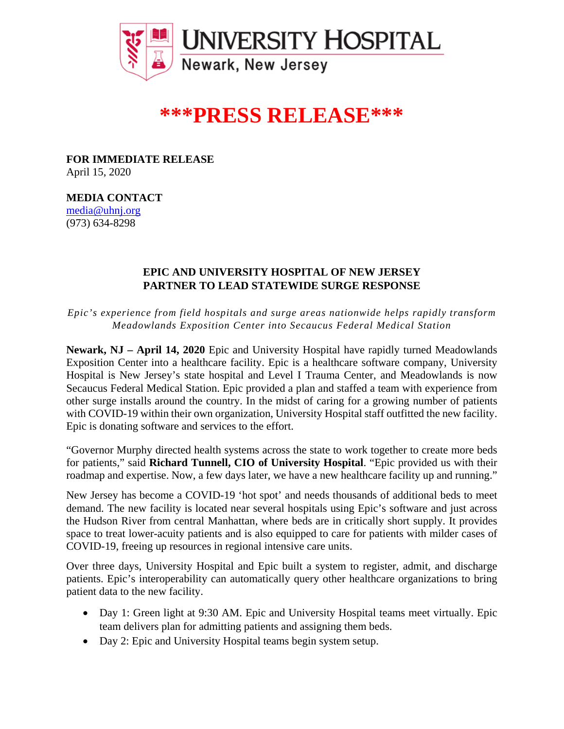

## **\*\*\*PRESS RELEASE\*\*\***

**FOR IMMEDIATE RELEASE** April 15, 2020

**MEDIA CONTACT** media@uhnj.org (973) 634-8298

## **EPIC AND UNIVERSITY HOSPITAL OF NEW JERSEY PARTNER TO LEAD STATEWIDE SURGE RESPONSE**

*Epic's experience from field hospitals and surge areas nationwide helps rapidly transform Meadowlands Exposition Center into Secaucus Federal Medical Station*

**Newark, NJ – April 14, 2020** Epic and University Hospital have rapidly turned Meadowlands Exposition Center into a healthcare facility. Epic is a healthcare software company, University Hospital is New Jersey's state hospital and Level I Trauma Center, and Meadowlands is now Secaucus Federal Medical Station. Epic provided a plan and staffed a team with experience from other surge installs around the country. In the midst of caring for a growing number of patients with COVID-19 within their own organization, University Hospital staff outfitted the new facility. Epic is donating software and services to the effort.

"Governor Murphy directed health systems across the state to work together to create more beds for patients," said **Richard Tunnell, CIO of University Hospital**. "Epic provided us with their roadmap and expertise. Now, a few days later, we have a new healthcare facility up and running."

New Jersey has become a COVID-19 'hot spot' and needs thousands of additional beds to meet demand. The new facility is located near several hospitals using Epic's software and just across the Hudson River from central Manhattan, where beds are in critically short supply. It provides space to treat lower-acuity patients and is also equipped to care for patients with milder cases of COVID-19, freeing up resources in regional intensive care units.

Over three days, University Hospital and Epic built a system to register, admit, and discharge patients. Epic's interoperability can automatically query other healthcare organizations to bring patient data to the new facility.

- Day 1: Green light at 9:30 AM. Epic and University Hospital teams meet virtually. Epic team delivers plan for admitting patients and assigning them beds.
- Day 2: Epic and University Hospital teams begin system setup.